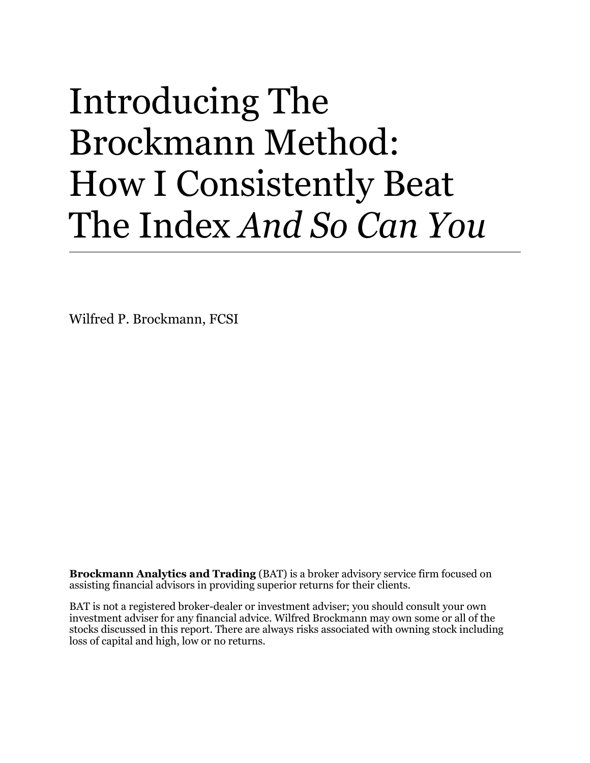# Introducing The Brockmann Method: How I Consistently Beat The Index *And So Can You*

Wilfred P. Brockmann, FCSI

**Brockmann Analytics and Trading** (BAT) is a broker advisory service firm focused on assisting financial advisors in providing superior returns for their clients.

BAT is not a registered broker-dealer or investment adviser; you should consult your own investment adviser for any financial advice. Wilfred Brockmann may own some or all of the stocks discussed in this report. There are always risks associated with owning stock including loss of capital and high, low or no returns.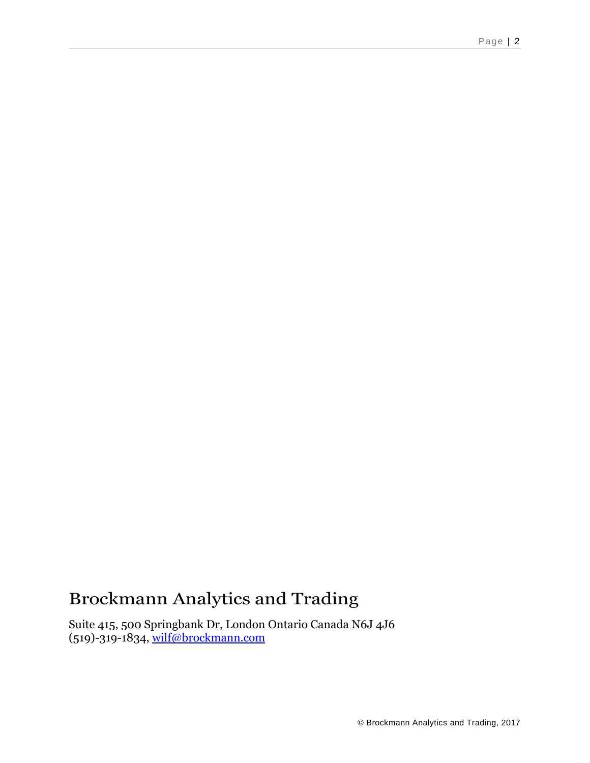#### Brockmann Analytics and Trading

Suite 415, 500 Springbank Dr, London Ontario Canada N6J 4J6 (519)-319-1834, [wilf@brockmann.com](mailto:wilf@brockmann.com)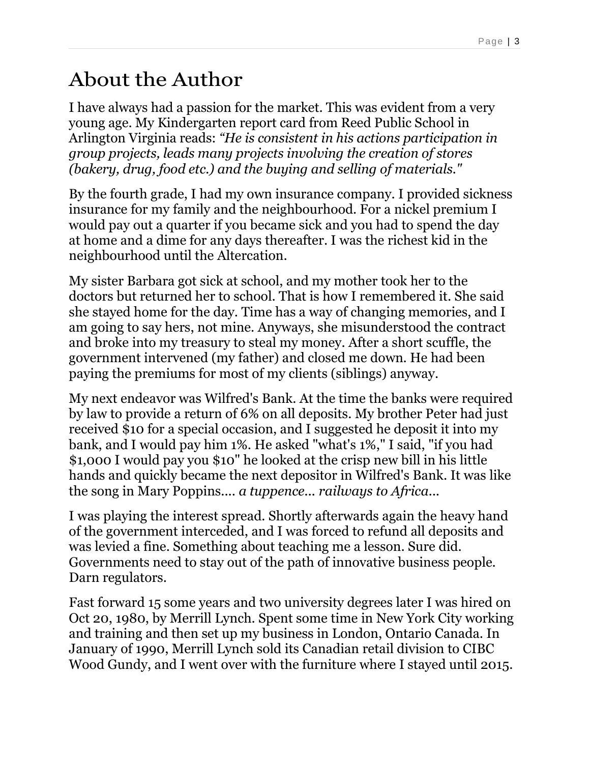#### About the Author

I have always had a passion for the market. This was evident from a very young age. My Kindergarten report card from Reed Public School in Arlington Virginia reads: *"He is consistent in his actions participation in group projects, leads many projects involving the creation of stores (bakery, drug, food etc.) and the buying and selling of materials."*

By the fourth grade, I had my own insurance company. I provided sickness insurance for my family and the neighbourhood. For a nickel premium I would pay out a quarter if you became sick and you had to spend the day at home and a dime for any days thereafter. I was the richest kid in the neighbourhood until the Altercation.

My sister Barbara got sick at school, and my mother took her to the doctors but returned her to school. That is how I remembered it. She said she stayed home for the day. Time has a way of changing memories, and I am going to say hers, not mine. Anyways, she misunderstood the contract and broke into my treasury to steal my money. After a short scuffle, the government intervened (my father) and closed me down. He had been paying the premiums for most of my clients (siblings) anyway.

My next endeavor was Wilfred's Bank. At the time the banks were required by law to provide a return of 6% on all deposits. My brother Peter had just received \$10 for a special occasion, and I suggested he deposit it into my bank, and I would pay him 1%. He asked "what's 1%," I said, "if you had \$1,000 I would pay you \$10" he looked at the crisp new bill in his little hands and quickly became the next depositor in Wilfred's Bank. It was like the song in Mary Poppins.... *a tuppence... railways to Africa...*

I was playing the interest spread. Shortly afterwards again the heavy hand of the government interceded, and I was forced to refund all deposits and was levied a fine. Something about teaching me a lesson. Sure did. Governments need to stay out of the path of innovative business people. Darn regulators.

Fast forward 15 some years and two university degrees later I was hired on Oct 20, 1980, by Merrill Lynch. Spent some time in New York City working and training and then set up my business in London, Ontario Canada. In January of 1990, Merrill Lynch sold its Canadian retail division to CIBC Wood Gundy, and I went over with the furniture where I stayed until 2015.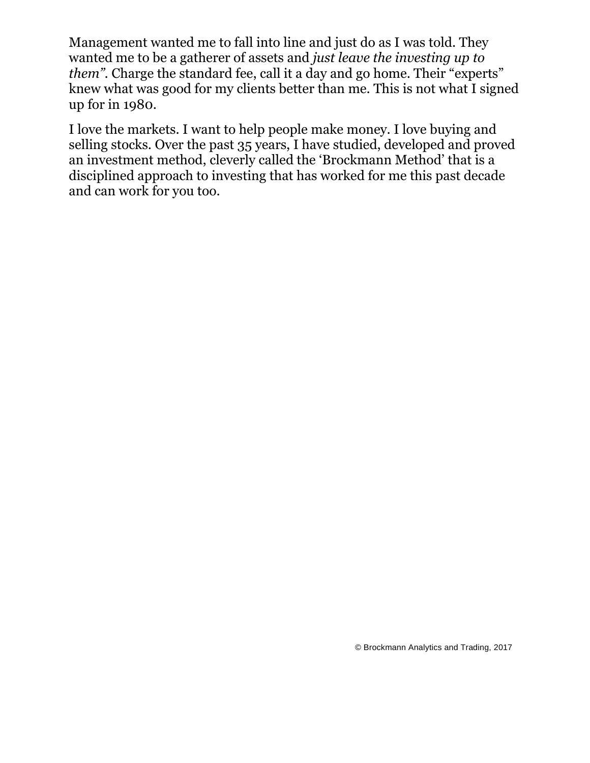Management wanted me to fall into line and just do as I was told. They wanted me to be a gatherer of assets and *just leave the investing up to them*". Charge the standard fee, call it a day and go home. Their "experts" knew what was good for my clients better than me. This is not what I signed up for in 1980.

I love the markets. I want to help people make money. I love buying and selling stocks. Over the past 35 years, I have studied, developed and proved an investment method, cleverly called the 'Brockmann Method' that is a disciplined approach to investing that has worked for me this past decade and can work for you too.

© Brockmann Analytics and Trading, 2017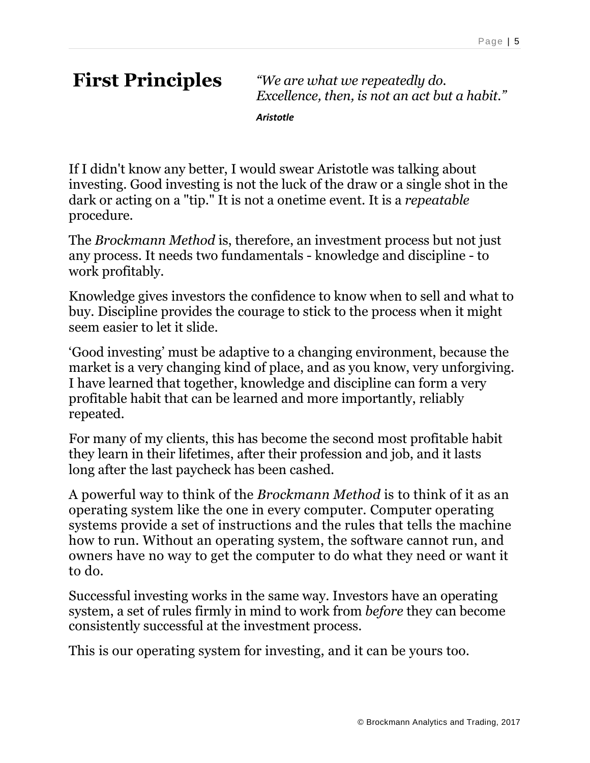**First Principles** *"We are what we repeatedly do. Excellence, then, is not an act but a habit."*

*Aristotle*

If I didn't know any better, I would swear Aristotle was talking about investing. Good investing is not the luck of the draw or a single shot in the dark or acting on a "tip." It is not a onetime event. It is a *repeatable* procedure.

The *Brockmann Method* is, therefore, an investment process but not just any process. It needs two fundamentals - knowledge and discipline - to work profitably.

Knowledge gives investors the confidence to know when to sell and what to buy. Discipline provides the courage to stick to the process when it might seem easier to let it slide.

'Good investing' must be adaptive to a changing environment, because the market is a very changing kind of place, and as you know, very unforgiving. I have learned that together, knowledge and discipline can form a very profitable habit that can be learned and more importantly, reliably repeated.

For many of my clients, this has become the second most profitable habit they learn in their lifetimes, after their profession and job, and it lasts long after the last paycheck has been cashed.

A powerful way to think of the *Brockmann Method* is to think of it as an operating system like the one in every computer. Computer operating systems provide a set of instructions and the rules that tells the machine how to run. Without an operating system, the software cannot run, and owners have no way to get the computer to do what they need or want it to do.

Successful investing works in the same way. Investors have an operating system, a set of rules firmly in mind to work from *before* they can become consistently successful at the investment process.

This is our operating system for investing, and it can be yours too.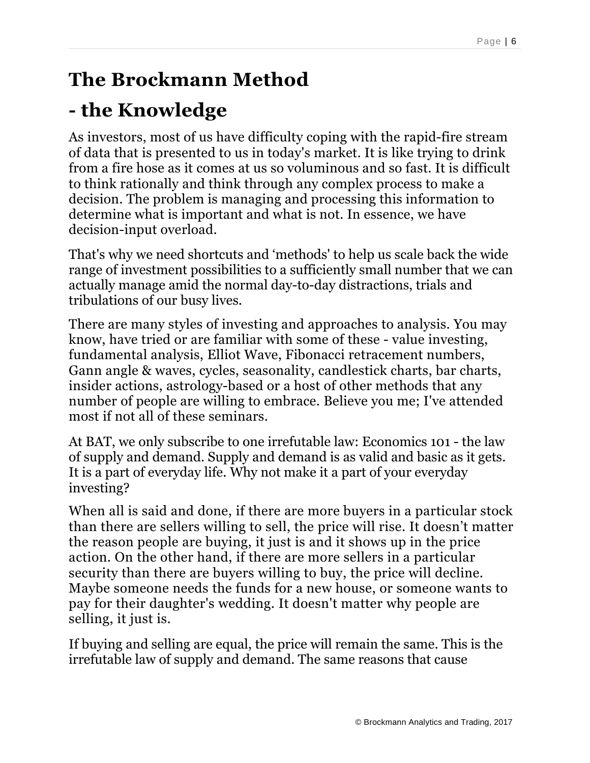# **The Brockmann Method**

## **- the Knowledge**

As investors, most of us have difficulty coping with the rapid-fire stream of data that is presented to us in today's market. It is like trying to drink from a fire hose as it comes at us so voluminous and so fast. It is difficult to think rationally and think through any complex process to make a decision. The problem is managing and processing this information to determine what is important and what is not. In essence, we have decision-input overload.

That's why we need shortcuts and 'methods' to help us scale back the wide range of investment possibilities to a sufficiently small number that we can actually manage amid the normal day-to-day distractions, trials and tribulations of our busy lives.

There are many styles of investing and approaches to analysis. You may know, have tried or are familiar with some of these - value investing, fundamental analysis, Elliot Wave, Fibonacci retracement numbers, Gann angle & waves, cycles, seasonality, candlestick charts, bar charts, insider actions, astrology-based or a host of other methods that any number of people are willing to embrace. Believe you me; I've attended most if not all of these seminars.

At BAT, we only subscribe to one irrefutable law: Economics 101 - the law of supply and demand. Supply and demand is as valid and basic as it gets. It is a part of everyday life. Why not make it a part of your everyday investing?

When all is said and done, if there are more buyers in a particular stock than there are sellers willing to sell, the price will rise. It doesn't matter the reason people are buying, it just is and it shows up in the price action. On the other hand, if there are more sellers in a particular security than there are buyers willing to buy, the price will decline. Maybe someone needs the funds for a new house, or someone wants to pay for their daughter's wedding. It doesn't matter why people are selling, it just is.

If buying and selling are equal, the price will remain the same. This is the irrefutable law of supply and demand. The same reasons that cause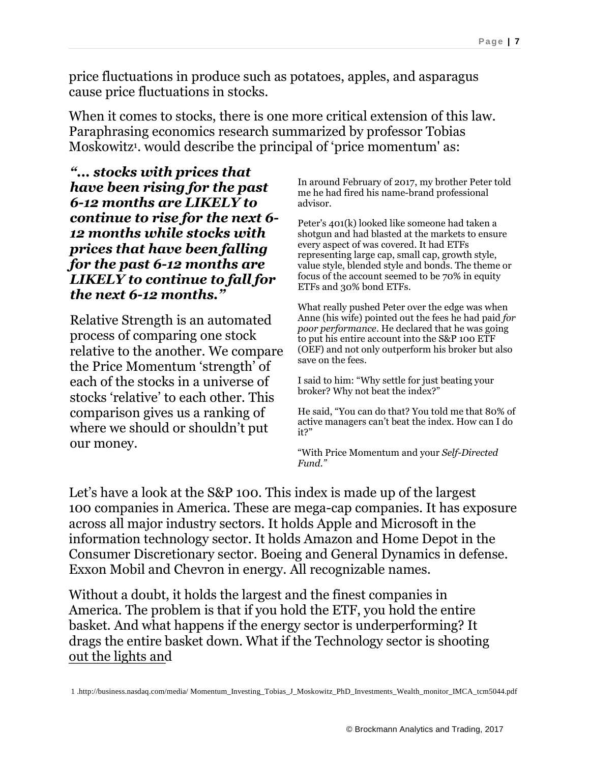price fluctuations in produce such as potatoes, apples, and asparagus cause price fluctuations in stocks.

When it comes to stocks, there is one more critical extension of this law. Paraphrasing economics research summarized by professor Tobias Moskowitz<sup>1</sup>, would describe the principal of 'price momentum' as:

*"... stocks with prices that have been rising for the past 6-12 months are LIKELY to continue to rise for the next 6- 12 months while stocks with prices that have been falling for the past 6-12 months are LIKELY to continue to fall for the next 6-12 months."*

Relative Strength is an automated process of comparing one stock relative to the another. We compare the Price Momentum 'strength' of each of the stocks in a universe of stocks 'relative' to each other. This comparison gives us a ranking of where we should or shouldn't put our money.

In around February of 2017, my brother Peter told me he had fired his name-brand professional advisor.

Peter's 401(k) looked like someone had taken a shotgun and had blasted at the markets to ensure every aspect of was covered. It had ETFs representing large cap, small cap, growth style, value style, blended style and bonds. The theme or focus of the account seemed to be 70% in equity ETFs and 30% bond ETFs.

What really pushed Peter over the edge was when Anne (his wife) pointed out the fees he had paid *for poor performance*. He declared that he was going to put his entire account into the S&P 100 ETF (OEF) and not only outperform his broker but also save on the fees.

I said to him: "Why settle for just beating your broker? Why not beat the index?"

He said, "You can do that? You told me that 80% of active managers can't beat the index. How can I do it?"

"With Price Momentum and your *Self-Directed Fund."*

Let's have a look at the S&P 100. This index is made up of the largest 100 companies in America. These are mega-cap companies. It has exposure across all major industry sectors. It holds Apple and Microsoft in the information technology sector. It holds Amazon and Home Depot in the Consumer Discretionary sector. Boeing and General Dynamics in defense. Exxon Mobil and Chevron in energy. All recognizable names.

Without a doubt, it holds the largest and the finest companies in America. The problem is that if you hold the ETF, you hold the entire basket. And what happens if the energy sector is underperforming? It drags the entire basket down. What if the Technology sector is shooting out the lights and

1 .http://business.nasdaq.com/media/ Momentum\_Investing\_Tobias\_J\_Moskowitz\_PhD\_Investments\_Wealth\_monitor\_IMCA\_tcm5044.pdf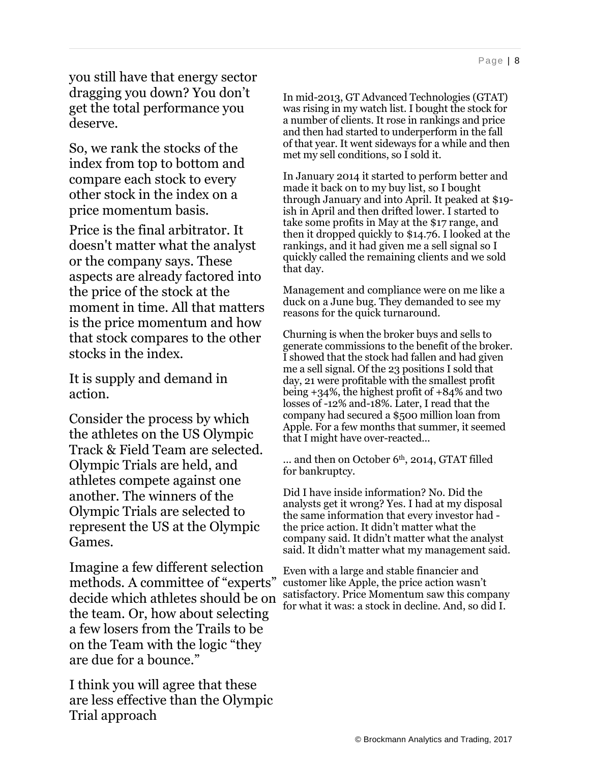you still have that energy sector dragging you down? You don't get the total performance you deserve.

So, we rank the stocks of the index from top to bottom and compare each stock to every other stock in the index on a price momentum basis.

Price is the final arbitrator. It doesn't matter what the analyst or the company says. These aspects are already factored into the price of the stock at the moment in time. All that matters is the price momentum and how that stock compares to the other stocks in the index.

It is supply and demand in action.

Consider the process by which the athletes on the US Olympic Track & Field Team are selected. Olympic Trials are held, and athletes compete against one another. The winners of the Olympic Trials are selected to represent the US at the Olympic Games.

Imagine a few different selection methods. A committee of "experts" decide which athletes should be on the team. Or, how about selecting a few losers from the Trails to be on the Team with the logic "they are due for a bounce."

I think you will agree that these are less effective than the Olympic Trial approach

In mid-2013, GT Advanced Technologies (GTAT) was rising in my watch list. I bought the stock for a number of clients. It rose in rankings and price and then had started to underperform in the fall of that year. It went sideways for a while and then met my sell conditions, so I sold it.

In January 2014 it started to perform better and made it back on to my buy list, so I bought through January and into April. It peaked at \$19 ish in April and then drifted lower. I started to take some profits in May at the \$17 range, and then it dropped quickly to \$14.76. I looked at the rankings, and it had given me a sell signal so I quickly called the remaining clients and we sold that day.

Management and compliance were on me like a duck on a June bug. They demanded to see my reasons for the quick turnaround.

Churning is when the broker buys and sells to generate commissions to the benefit of the broker. I showed that the stock had fallen and had given me a sell signal. Of the 23 positions I sold that day, 21 were profitable with the smallest profit being +34%, the highest profit of +84% and two losses of -12% and-18%. Later, I read that the company had secured a \$500 million loan from Apple. For a few months that summer, it seemed that I might have over-reacted...

 $\ldots$  and then on October 6<sup>th</sup>, 2014, GTAT filled for bankruptcy.

Did I have inside information? No. Did the analysts get it wrong? Yes. I had at my disposal the same information that every investor had the price action. It didn't matter what the company said. It didn't matter what the analyst said. It didn't matter what my management said.

Even with a large and stable financier and customer like Apple, the price action wasn't satisfactory. Price Momentum saw this company for what it was: a stock in decline. And, so did I.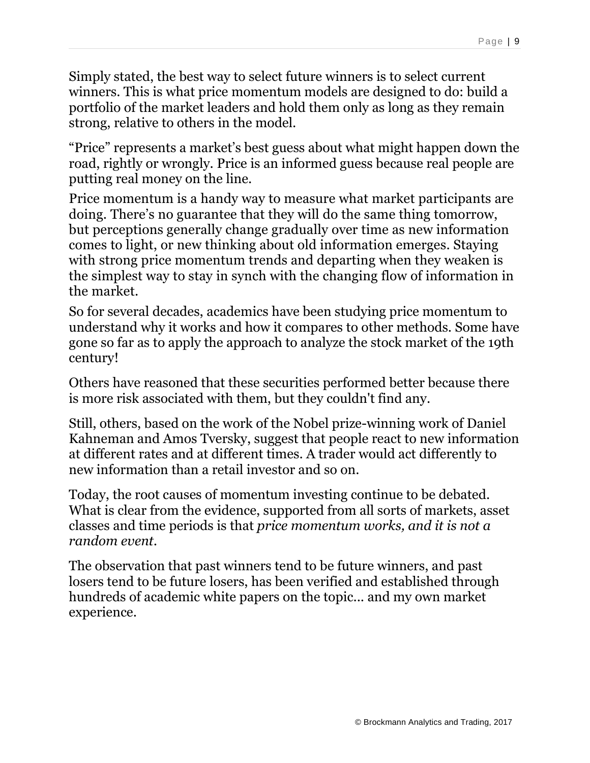Simply stated, the best way to select future winners is to select current winners. This is what price momentum models are designed to do: build a portfolio of the market leaders and hold them only as long as they remain strong, relative to others in the model.

"Price" represents a market's best guess about what might happen down the road, rightly or wrongly. Price is an informed guess because real people are putting real money on the line.

Price momentum is a handy way to measure what market participants are doing. There's no guarantee that they will do the same thing tomorrow, but perceptions generally change gradually over time as new information comes to light, or new thinking about old information emerges. Staying with strong price momentum trends and departing when they weaken is the simplest way to stay in synch with the changing flow of information in the market.

So for several decades, academics have been studying price momentum to understand why it works and how it compares to other methods. Some have gone so far as to apply the approach to analyze the stock market of the 19th century!

Others have reasoned that these securities performed better because there is more risk associated with them, but they couldn't find any.

Still, others, based on the work of the Nobel prize-winning work of Daniel Kahneman and Amos Tversky, suggest that people react to new information at different rates and at different times. A trader would act differently to new information than a retail investor and so on.

Today, the root causes of momentum investing continue to be debated. What is clear from the evidence, supported from all sorts of markets, asset classes and time periods is that *price momentum works, and it is not a random event.*

The observation that past winners tend to be future winners, and past losers tend to be future losers, has been verified and established through hundreds of academic white papers on the topic... and my own market experience.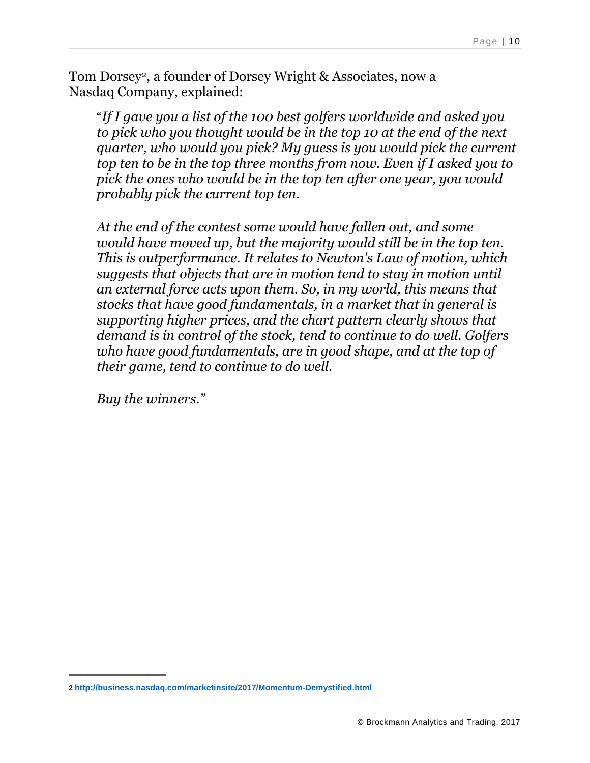Tom Dorsey2, a founder of Dorsey Wright & Associates, now a Nasdaq Company, explained:

"*If I gave you a list of the 100 best golfers worldwide and asked you to pick who you thought would be in the top 10 at the end of the next quarter, who would you pick? My guess is you would pick the current top ten to be in the top three months from now. Even if I asked you to pick the ones who would be in the top ten after one year, you would probably pick the current top ten.*

*At the end of the contest some would have fallen out, and some would have moved up, but the majority would still be in the top ten. This is outperformance. It relates to Newton's Law of motion, which suggests that objects that are in motion tend to stay in motion until an external force acts upon them. So, in my world, this means that stocks that have good fundamentals, in a market that in general is supporting higher prices, and the chart pattern clearly shows that demand is in control of the stock, tend to continue to do well. Golfers who have good fundamentals, are in good shape, and at the top of their game, tend to continue to do well.*

*Buy the winners."*

**<sup>2</sup> <http://business.nasdaq.com/marketinsite/2017/Momentum-Demystified.html>**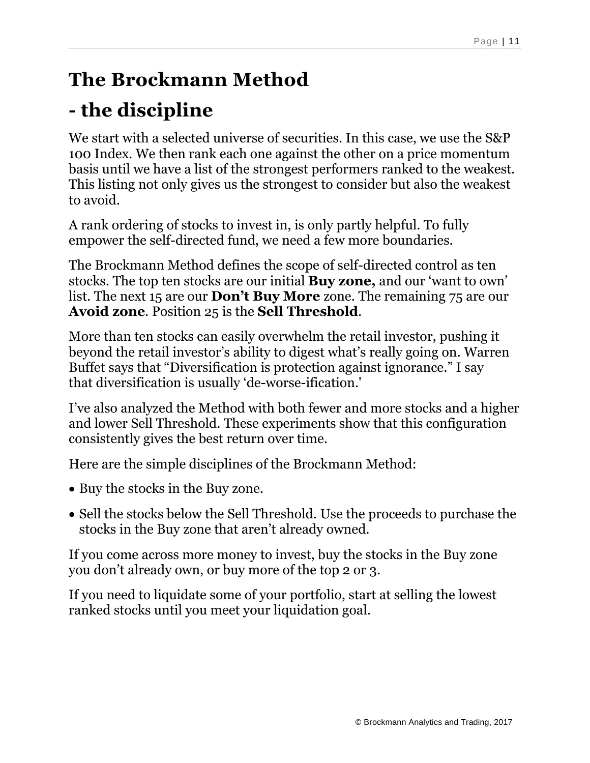## **The Brockmann Method**

# **- the discipline**

We start with a selected universe of securities. In this case, we use the S&P 100 Index. We then rank each one against the other on a price momentum basis until we have a list of the strongest performers ranked to the weakest. This listing not only gives us the strongest to consider but also the weakest to avoid.

A rank ordering of stocks to invest in, is only partly helpful. To fully empower the self-directed fund, we need a few more boundaries.

The Brockmann Method defines the scope of self-directed control as ten stocks. The top ten stocks are our initial **Buy zone,** and our 'want to own' list. The next 15 are our **Don't Buy More** zone. The remaining 75 are our **Avoid zone**. Position 25 is the **Sell Threshold**.

More than ten stocks can easily overwhelm the retail investor, pushing it beyond the retail investor's ability to digest what's really going on. Warren Buffet says that "Diversification is protection against ignorance." I say that diversification is usually 'de-worse-ification.'

I've also analyzed the Method with both fewer and more stocks and a higher and lower Sell Threshold. These experiments show that this configuration consistently gives the best return over time.

Here are the simple disciplines of the Brockmann Method:

- Buy the stocks in the Buy zone.
- Sell the stocks below the Sell Threshold. Use the proceeds to purchase the stocks in the Buy zone that aren't already owned.

If you come across more money to invest, buy the stocks in the Buy zone you don't already own, or buy more of the top 2 or 3.

If you need to liquidate some of your portfolio, start at selling the lowest ranked stocks until you meet your liquidation goal.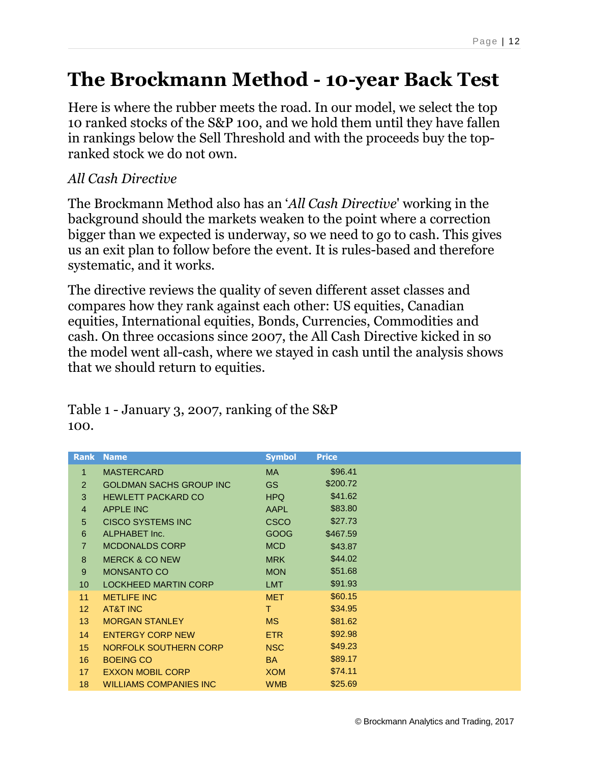#### **The Brockmann Method - 10-year Back Test**

Here is where the rubber meets the road. In our model, we select the top 10 ranked stocks of the S&P 100, and we hold them until they have fallen in rankings below the Sell Threshold and with the proceeds buy the topranked stock we do not own.

#### *All Cash Directive*

The Brockmann Method also has an '*All Cash Directive*' working in the background should the markets weaken to the point where a correction bigger than we expected is underway, so we need to go to cash. This gives us an exit plan to follow before the event. It is rules-based and therefore systematic, and it works.

The directive reviews the quality of seven different asset classes and compares how they rank against each other: US equities, Canadian equities, International equities, Bonds, Currencies, Commodities and cash. On three occasions since 2007, the All Cash Directive kicked in so the model went all-cash, where we stayed in cash until the analysis shows that we should return to equities.

| <b>Rank</b>     | <b>Name</b>                    | <b>Symbol</b> | <b>Price</b> |
|-----------------|--------------------------------|---------------|--------------|
| $\mathbf{1}$    | <b>MASTERCARD</b>              | <b>MA</b>     | \$96.41      |
| 2               | <b>GOLDMAN SACHS GROUP INC</b> | GS            | \$200.72     |
| 3               | <b>HEWLETT PACKARD CO</b>      | HPQ           | \$41.62      |
| $\overline{4}$  | <b>APPLE INC</b>               | <b>AAPL</b>   | \$83.80      |
| 5               | CISCO SYSTEMS INC              | <b>CSCO</b>   | \$27.73      |
| $6\phantom{1}$  | ALPHABET Inc.                  | GOOG          | \$467.59     |
| $\overline{7}$  | <b>MCDONALDS CORP</b>          | <b>MCD</b>    | \$43.87      |
| 8               | <b>MERCK &amp; CO NEW</b>      | <b>MRK</b>    | \$44.02      |
| $9\,$           | <b>MONSANTO CO</b>             | <b>MON</b>    | \$51.68      |
| 10 <sup>1</sup> | <b>LOCKHEED MARTIN CORP</b>    | <b>LMT</b>    | \$91.93      |
| 11              | <b>METLIFE INC</b>             | <b>MET</b>    | \$60.15      |
| 12 <sup>2</sup> | AT&T INC                       | T.            | \$34.95      |
| 13              | <b>MORGAN STANLEY</b>          | <b>MS</b>     | \$81.62      |
| 14              | <b>ENTERGY CORP NEW</b>        | ETR.          | \$92.98      |
| 15              | NORFOLK SOUTHERN CORP          | <b>NSC</b>    | \$49.23      |
| 16              | <b>BOEING CO</b>               | <b>BA</b>     | \$89.17      |
| 17 <sup>2</sup> | <b>EXXON MOBIL CORP</b>        | <b>XOM</b>    | \$74.11      |
| 18              | <b>WILLIAMS COMPANIES INC.</b> | <b>WMB</b>    | \$25.69      |

#### Table 1 - January 3, 2007, ranking of the S&P 100.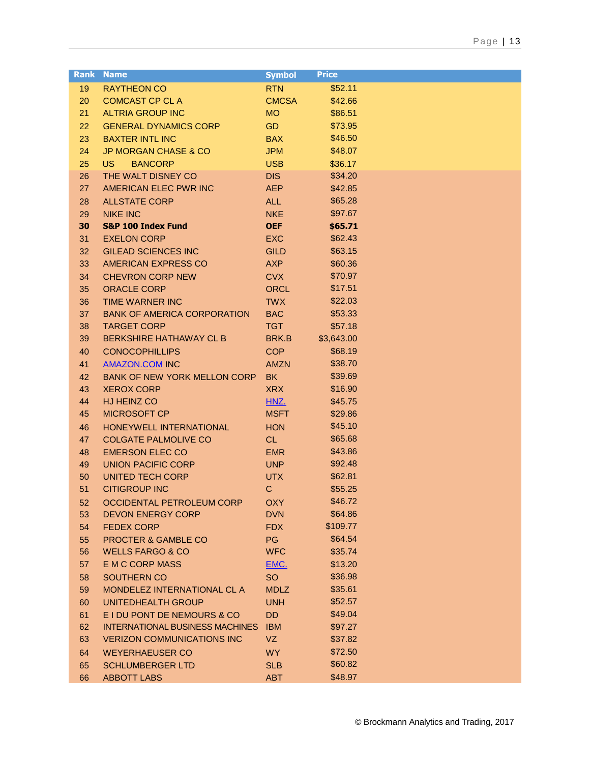| <b>Rank</b> | <b>Name</b>                            | <b>Symbol</b> | <b>Price</b> |  |
|-------------|----------------------------------------|---------------|--------------|--|
| 19          | <b>RAYTHEON CO</b>                     | <b>RTN</b>    | \$52.11      |  |
| 20          | <b>COMCAST CP CL A</b>                 | <b>CMCSA</b>  | \$42.66      |  |
| 21          | <b>ALTRIA GROUP INC</b>                | <b>MO</b>     | \$86.51      |  |
| 22          | <b>GENERAL DYNAMICS CORP</b>           | <b>GD</b>     | \$73.95      |  |
| 23          | <b>BAXTER INTL INC</b>                 | <b>BAX</b>    | \$46.50      |  |
| 24          | <b>JP MORGAN CHASE &amp; CO</b>        | <b>JPM</b>    | \$48.07      |  |
| 25          | <b>BANCORP</b><br>US.                  | <b>USB</b>    | \$36.17      |  |
| 26          | THE WALT DISNEY CO                     | <b>DIS</b>    | \$34.20      |  |
| 27          | AMERICAN ELEC PWR INC                  | <b>AEP</b>    | \$42.85      |  |
| 28          | <b>ALLSTATE CORP</b>                   | <b>ALL</b>    | \$65.28      |  |
| 29          | <b>NIKE INC</b>                        | <b>NKE</b>    | \$97.67      |  |
| 30          | <b>S&amp;P 100 Index Fund</b>          | <b>OEF</b>    | \$65.71      |  |
| 31          | <b>EXELON CORP</b>                     | <b>EXC</b>    | \$62.43      |  |
| 32          | <b>GILEAD SCIENCES INC</b>             | <b>GILD</b>   | \$63.15      |  |
| 33          | AMERICAN EXPRESS CO                    | <b>AXP</b>    | \$60.36      |  |
| 34          | <b>CHEVRON CORP NEW</b>                | <b>CVX</b>    | \$70.97      |  |
| 35          | <b>ORACLE CORP</b>                     | <b>ORCL</b>   | \$17.51      |  |
| 36          | <b>TIME WARNER INC</b>                 | <b>TWX</b>    | \$22.03      |  |
| 37          | <b>BANK OF AMERICA CORPORATION</b>     | <b>BAC</b>    | \$53.33      |  |
| 38          | <b>TARGET CORP</b>                     | <b>TGT</b>    | \$57.18      |  |
| 39          | <b>BERKSHIRE HATHAWAY CL B</b>         | BRK.B         | \$3,643.00   |  |
| 40          | <b>CONOCOPHILLIPS</b>                  | <b>COP</b>    | \$68.19      |  |
| 41          | <b>AMAZON.COM INC</b>                  | <b>AMZN</b>   | \$38.70      |  |
| 42          | <b>BANK OF NEW YORK MELLON CORP</b>    | <b>BK</b>     | \$39.69      |  |
| 43          | <b>XEROX CORP</b>                      | <b>XRX</b>    | \$16.90      |  |
| 44          | HJ HEINZ CO                            | HNZ.          | \$45.75      |  |
| 45          | <b>MICROSOFT CP</b>                    | <b>MSFT</b>   | \$29.86      |  |
| 46          | HONEYWELL INTERNATIONAL                | <b>HON</b>    | \$45.10      |  |
| 47          | <b>COLGATE PALMOLIVE CO</b>            | CL.           | \$65.68      |  |
| 48          | <b>EMERSON ELEC CO</b>                 | <b>EMR</b>    | \$43.86      |  |
| 49          | <b>UNION PACIFIC CORP</b>              | <b>UNP</b>    | \$92.48      |  |
| 50          | <b>UNITED TECH CORP</b>                | <b>UTX</b>    | \$62.81      |  |
| 51          | <b>CITIGROUP INC</b>                   | $\mathbf C$   | \$55.25      |  |
| 52          | OCCIDENTAL PETROLEUM CORP              | <b>OXY</b>    | \$46.72      |  |
| 53          | <b>DEVON ENERGY CORP</b>               | <b>DVN</b>    | \$64.86      |  |
| 54          | <b>FEDEX CORP</b>                      | <b>FDX</b>    | \$109.77     |  |
| 55          | PROCTER & GAMBLE CO                    | PG            | \$64.54      |  |
| 56          | <b>WELLS FARGO &amp; CO</b>            | <b>WFC</b>    | \$35.74      |  |
| 57          | <b>E M C CORP MASS</b>                 | EMC.          | \$13.20      |  |
| 58          | SOUTHERN CO                            | <b>SO</b>     | \$36.98      |  |
| 59          | MONDELEZ INTERNATIONAL CL A            | <b>MDLZ</b>   | \$35.61      |  |
| 60          | UNITEDHEALTH GROUP                     | <b>UNH</b>    | \$52.57      |  |
| 61          | E I DU PONT DE NEMOURS & CO            | DD            | \$49.04      |  |
| 62          | <b>INTERNATIONAL BUSINESS MACHINES</b> | <b>IBM</b>    | \$97.27      |  |
| 63          | <b>VERIZON COMMUNICATIONS INC</b>      | VZ            | \$37.82      |  |
| 64          | <b>WEYERHAEUSER CO</b>                 | <b>WY</b>     | \$72.50      |  |
| 65          | <b>SCHLUMBERGER LTD</b>                | <b>SLB</b>    | \$60.82      |  |
| 66          | <b>ABBOTT LABS</b>                     | <b>ABT</b>    | \$48.97      |  |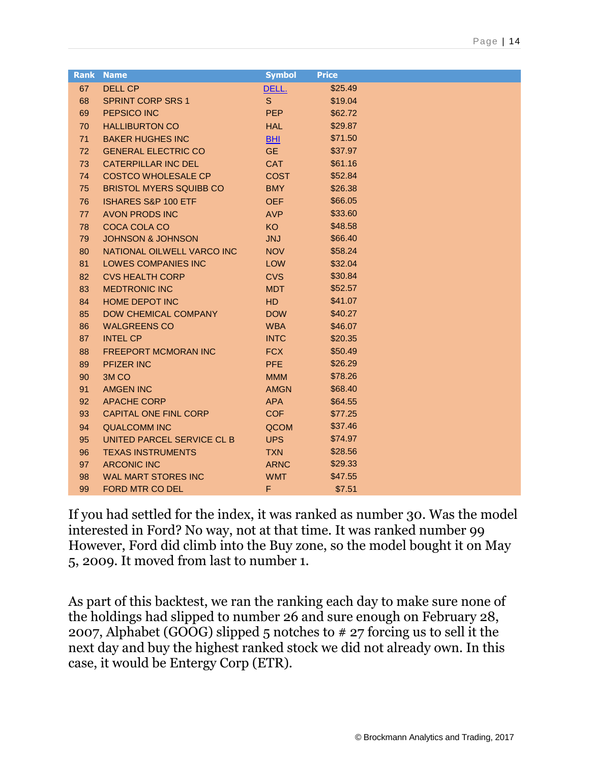|    | <b>Rank Name</b>               | <b>Symbol</b> | <b>Price</b> |
|----|--------------------------------|---------------|--------------|
| 67 | <b>DELL CP</b>                 | DELL.         | \$25.49      |
| 68 | <b>SPRINT CORP SRS 1</b>       | S.            | \$19.04      |
| 69 | PEPSICO INC                    | <b>PEP</b>    | \$62.72      |
| 70 | <b>HALLIBURTON CO</b>          | <b>HAL</b>    | \$29.87      |
| 71 | <b>BAKER HUGHES INC</b>        | BHI           | \$71.50      |
| 72 | <b>GENERAL ELECTRIC CO</b>     | <b>GE</b>     | \$37.97      |
| 73 | <b>CATERPILLAR INC DEL</b>     | <b>CAT</b>    | \$61.16      |
| 74 | <b>COSTCO WHOLESALE CP</b>     | <b>COST</b>   | \$52.84      |
| 75 | <b>BRISTOL MYERS SQUIBB CO</b> | <b>BMY</b>    | \$26.38      |
| 76 | <b>ISHARES S&amp;P 100 ETF</b> | <b>OEF</b>    | \$66.05      |
| 77 | <b>AVON PRODS INC</b>          | <b>AVP</b>    | \$33.60      |
| 78 | COCA COLA CO                   | KO            | \$48.58      |
| 79 | <b>JOHNSON &amp; JOHNSON</b>   | <b>JNJ</b>    | \$66.40      |
| 80 | NATIONAL OILWELL VARCO INC     | <b>NOV</b>    | \$58.24      |
| 81 | LOWES COMPANIES INC            | LOW           | \$32.04      |
| 82 | <b>CVS HEALTH CORP</b>         | <b>CVS</b>    | \$30.84      |
| 83 | <b>MEDTRONIC INC</b>           | <b>MDT</b>    | \$52.57      |
| 84 | <b>HOME DEPOT INC</b>          | <b>HD</b>     | \$41.07      |
| 85 | <b>DOW CHEMICAL COMPANY</b>    | <b>DOW</b>    | \$40.27      |
| 86 | <b>WALGREENS CO</b>            | <b>WBA</b>    | \$46.07      |
| 87 | <b>INTEL CP</b>                | <b>INTC</b>   | \$20.35      |
| 88 | <b>FREEPORT MCMORAN INC</b>    | <b>FCX</b>    | \$50.49      |
| 89 | <b>PFIZER INC</b>              | <b>PFE</b>    | \$26.29      |
| 90 | 3M <sub>CO</sub>               | <b>MMM</b>    | \$78.26      |
| 91 | <b>AMGEN INC</b>               | <b>AMGN</b>   | \$68.40      |
| 92 | <b>APACHE CORP</b>             | <b>APA</b>    | \$64.55      |
| 93 | <b>CAPITAL ONE FINL CORP</b>   | COF           | \$77.25      |
| 94 | <b>QUALCOMM INC</b>            | QCOM          | \$37.46      |
| 95 | UNITED PARCEL SERVICE CL B     | <b>UPS</b>    | \$74.97      |
| 96 | <b>TEXAS INSTRUMENTS</b>       | <b>TXN</b>    | \$28.56      |
| 97 | <b>ARCONIC INC</b>             | <b>ARNC</b>   | \$29.33      |
| 98 | <b>WAL MART STORES INC</b>     | <b>WMT</b>    | \$47.55      |
| 99 | FORD MTR CO DEL                | F             | \$7.51       |

If you had settled for the index, it was ranked as number 30. Was the model interested in Ford? No way, not at that time. It was ranked number 99 However, Ford did climb into the Buy zone, so the model bought it on May 5, 2009. It moved from last to number 1.

As part of this backtest, we ran the ranking each day to make sure none of the holdings had slipped to number 26 and sure enough on February 28, 2007, Alphabet (GOOG) slipped 5 notches to # 27 forcing us to sell it the next day and buy the highest ranked stock we did not already own. In this case, it would be Entergy Corp (ETR).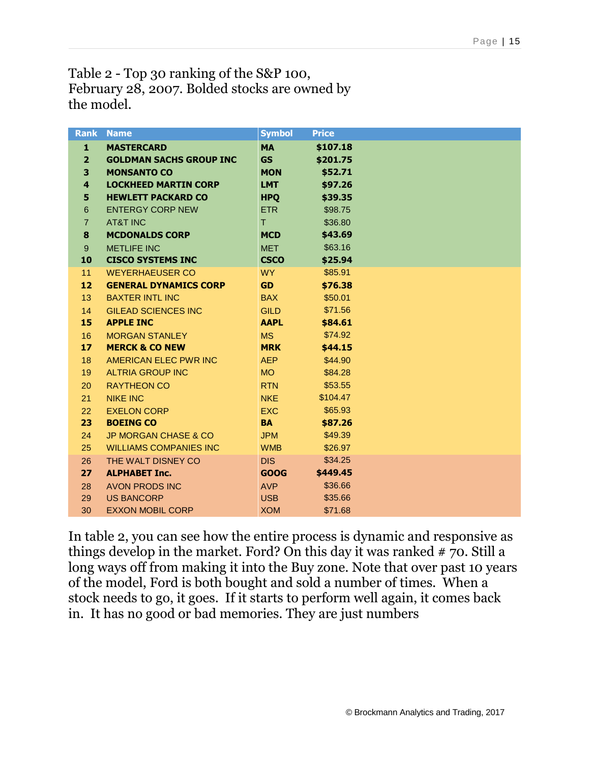Table 2 - Top 30 ranking of the S&P 100, February 28, 2007. Bolded stocks are owned by the model.

| <b>Rank</b>             | <b>Name</b>                     | <b>Symbol</b> | <b>Price</b> |
|-------------------------|---------------------------------|---------------|--------------|
| 1                       | <b>MASTERCARD</b>               | <b>MA</b>     | \$107.18     |
| $\overline{2}$          | <b>GOLDMAN SACHS GROUP INC</b>  | <b>GS</b>     | \$201.75     |
| 3                       | <b>MONSANTO CO</b>              | <b>MON</b>    | \$52.71      |
| $\overline{\mathbf{4}}$ | <b>LOCKHEED MARTIN CORP</b>     | <b>LMT</b>    | \$97.26      |
| 5                       | <b>HEWLETT PACKARD CO</b>       | <b>HPO</b>    | \$39.35      |
| $6\phantom{1}6$         | <b>ENTERGY CORP NEW</b>         | <b>ETR</b>    | \$98.75      |
| $\overline{7}$          | <b>AT&amp;T INC</b>             | T.            | \$36.80      |
| 8                       | <b>MCDONALDS CORP</b>           | <b>MCD</b>    | \$43.69      |
| $9^{\circ}$             | <b>METLIFE INC</b>              | <b>MET</b>    | \$63.16      |
| 10                      | <b>CISCO SYSTEMS INC</b>        | <b>CSCO</b>   | \$25.94      |
| 11                      | <b>WEYERHAEUSER CO</b>          | <b>WY</b>     | \$85.91      |
| 12                      | <b>GENERAL DYNAMICS CORP</b>    | <b>GD</b>     | \$76.38      |
| 13                      | <b>BAXTER INTL INC</b>          | <b>BAX</b>    | \$50.01      |
| 14                      | <b>GILEAD SCIENCES INC</b>      | <b>GILD</b>   | \$71.56      |
| 15                      | <b>APPLE INC</b>                | <b>AAPL</b>   | \$84.61      |
| 16                      | <b>MORGAN STANLEY</b>           | <b>MS</b>     | \$74.92      |
| 17                      | <b>MERCK &amp; CO NEW</b>       | <b>MRK</b>    | \$44.15      |
| 18                      | <b>AMERICAN ELEC PWR INC</b>    | AEP           | \$44.90      |
| 19                      | <b>ALTRIA GROUP INC</b>         | <b>MO</b>     | \$84.28      |
| 20                      | <b>RAYTHEON CO</b>              | <b>RTN</b>    | \$53.55      |
| 21                      | <b>NIKE INC</b>                 | <b>NKE</b>    | \$104.47     |
| 22                      | <b>EXELON CORP</b>              | EXC.          | \$65.93      |
| 23                      | <b>BOEING CO</b>                | <b>BA</b>     | \$87.26      |
| 24                      | <b>JP MORGAN CHASE &amp; CO</b> | <b>JPM</b>    | \$49.39      |
| 25                      | <b>WILLIAMS COMPANIES INC</b>   | <b>WMB</b>    | \$26.97      |
| 26                      | THE WALT DISNEY CO              | DIS.          | \$34.25      |
| 27                      | <b>ALPHABET Inc.</b>            | <b>GOOG</b>   | \$449.45     |
| 28                      | <b>AVON PRODS INC</b>           | <b>AVP</b>    | \$36.66      |
| 29                      | <b>US BANCORP</b>               | <b>USB</b>    | \$35.66      |
| 30                      | <b>EXXON MOBIL CORP</b>         | <b>XOM</b>    | \$71.68      |

In table 2, you can see how the entire process is dynamic and responsive as things develop in the market. Ford? On this day it was ranked # 70. Still a long ways off from making it into the Buy zone. Note that over past 10 years of the model, Ford is both bought and sold a number of times. When a stock needs to go, it goes. If it starts to perform well again, it comes back in. It has no good or bad memories. They are just numbers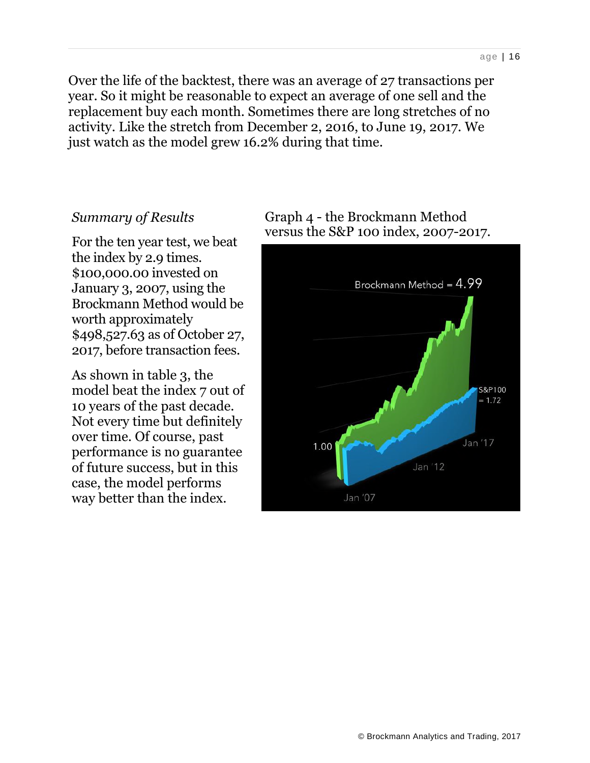Over the life of the backtest, there was an average of 27 transactions per year. So it might be reasonable to expect an average of one sell and the replacement buy each month. Sometimes there are long stretches of no activity. Like the stretch from December 2, 2016, to June 19, 2017. We just watch as the model grew 16.2% during that time.

#### *Summary of Results*

For the ten year test, we beat the index by 2.9 times. \$100,000.00 invested on January 3, 2007, using the Brockmann Method would be worth approximately \$498,527.63 as of October 27, 2017, before transaction fees.

As shown in table 3, the model beat the index 7 out of 10 years of the past decade. Not every time but definitely over time. Of course, past performance is no guarantee of future success, but in this case, the model performs way better than the index.



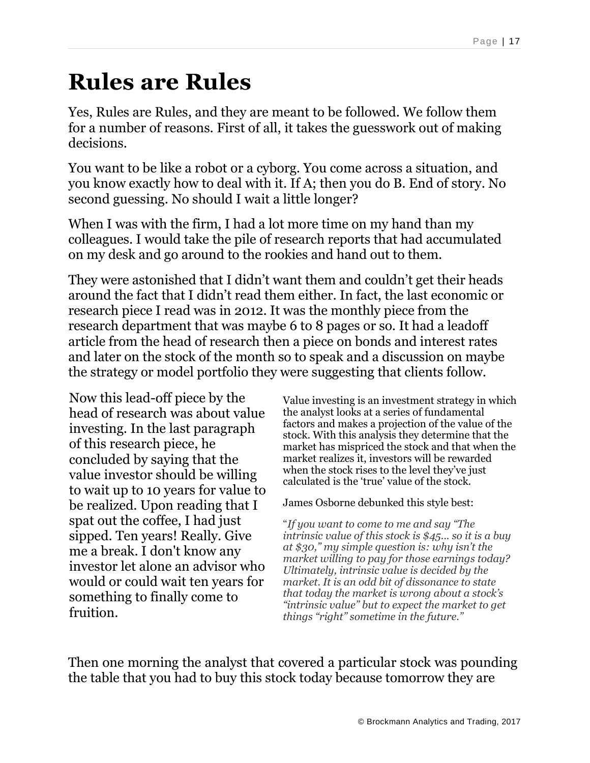# **Rules are Rules**

Yes, Rules are Rules, and they are meant to be followed. We follow them for a number of reasons. First of all, it takes the guesswork out of making decisions.

You want to be like a robot or a cyborg. You come across a situation, and you know exactly how to deal with it. If A; then you do B. End of story. No second guessing. No should I wait a little longer?

When I was with the firm, I had a lot more time on my hand than my colleagues. I would take the pile of research reports that had accumulated on my desk and go around to the rookies and hand out to them.

They were astonished that I didn't want them and couldn't get their heads around the fact that I didn't read them either. In fact, the last economic or research piece I read was in 2012. It was the monthly piece from the research department that was maybe 6 to 8 pages or so. It had a leadoff article from the head of research then a piece on bonds and interest rates and later on the stock of the month so to speak and a discussion on maybe the strategy or model portfolio they were suggesting that clients follow.

Now this lead-off piece by the head of research was about value investing. In the last paragraph of this research piece, he concluded by saying that the value investor should be willing to wait up to 10 years for value to be realized. Upon reading that I spat out the coffee, I had just sipped. Ten years! Really. Give me a break. I don't know any investor let alone an advisor who would or could wait ten years for something to finally come to fruition.

Value investing is an investment strategy in which the analyst looks at a series of fundamental factors and makes a projection of the value of the stock. With this analysis they determine that the market has mispriced the stock and that when the market realizes it, investors will be rewarded when the stock rises to the level they've just calculated is the 'true' value of the stock.

James Osborne debunked this style best:

"*If you want to come to me and say "The intrinsic value of this stock is \$45... so it is a buy at \$30," my simple question is: why isn't the market willing to pay for those earnings today? Ultimately, intrinsic value is decided by the market. It is an odd bit of dissonance to state that today the market is wrong about a stock's "intrinsic value" but to expect the market to get things "right" sometime in the future."*

Then one morning the analyst that covered a particular stock was pounding the table that you had to buy this stock today because tomorrow they are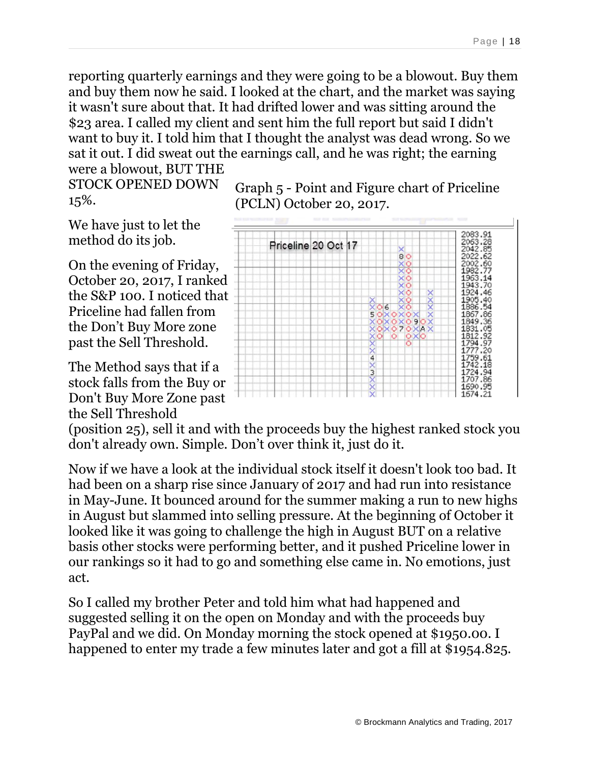reporting quarterly earnings and they were going to be a blowout. Buy them and buy them now he said. I looked at the chart, and the market was saying it wasn't sure about that. It had drifted lower and was sitting around the \$23 area. I called my client and sent him the full report but said I didn't want to buy it. I told him that I thought the analyst was dead wrong. So we sat it out. I did sweat out the earnings call, and he was right; the earning were a blowout, BUT THE

STOCK OPENED DOWN 15%.

We have just to let the method do its job.

On the evening of Friday, October 20, 2017, I ranked the S&P 100. I noticed that Priceline had fallen from the Don't Buy More zone past the Sell Threshold.

The Method says that if a stock falls from the Buy or Don't Buy More Zone past the Sell Threshold

Graph 5 - Point and Figure chart of Priceline (PCLN) October 20, 2017.



(position 25), sell it and with the proceeds buy the highest ranked stock you don't already own. Simple. Don't over think it, just do it.

Now if we have a look at the individual stock itself it doesn't look too bad. It had been on a sharp rise since January of 2017 and had run into resistance in May-June. It bounced around for the summer making a run to new highs in August but slammed into selling pressure. At the beginning of October it looked like it was going to challenge the high in August BUT on a relative basis other stocks were performing better, and it pushed Priceline lower in our rankings so it had to go and something else came in. No emotions, just act.

So I called my brother Peter and told him what had happened and suggested selling it on the open on Monday and with the proceeds buy PayPal and we did. On Monday morning the stock opened at \$1950.00. I happened to enter my trade a few minutes later and got a fill at \$1954.825.